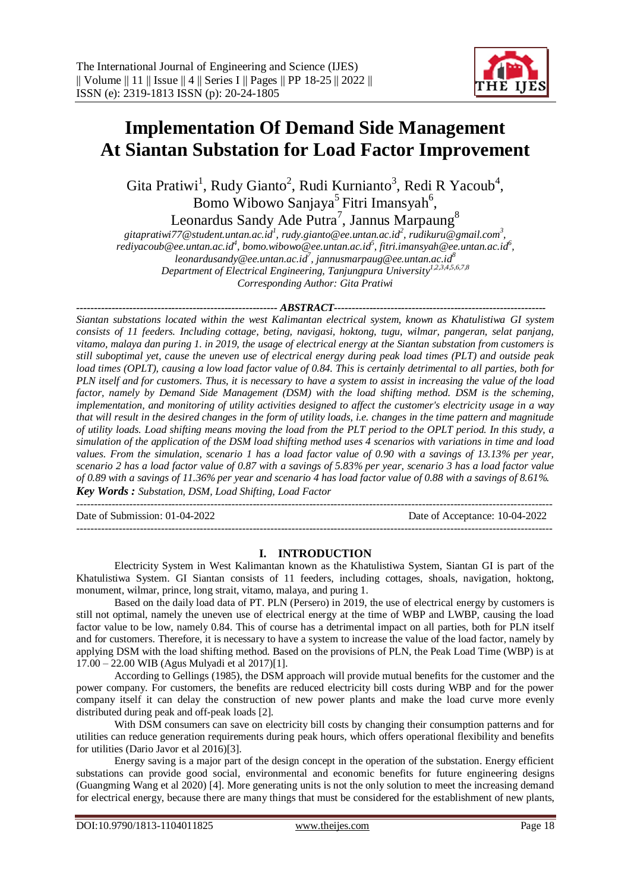

# **Implementation Of Demand Side Management At Siantan Substation for Load Factor Improvement**

Gita Pratiwi<sup>1</sup>, Rudy Gianto<sup>2</sup>, Rudi Kurnianto<sup>3</sup>, Redi R Yacoub<sup>4</sup>, Bomo Wibowo Sanjaya<sup>5</sup> Fitri Imansyah<sup>6</sup>,

Leonardus Sandy Ade Putra<sup>7</sup>, Jannus Marpaung<sup>8</sup>

gitapratiwi77@student.untan.ac.id<sup>1</sup>, rudy.gianto@ee.untan.ac.id<sup>2</sup>, rudikuru@gmail.com<sup>3</sup>, *rediyacoub@ee.untan.ac.id<sup>4</sup> , bomo.wibowo@ee.untan.ac.id<sup>5</sup> , [fitri.imansyah@ee.untan.ac.id](mailto:fitri.imansyah@ee.untan.ac.id6)<sup>6</sup> , leonardusandy@ee.untan.ac.id<sup>7</sup> , jannusmarpaug@ee.untan.ac.id<sup>8</sup> Department of Electrical Engineering, Tanjungpura University 1,2,3,4,5,6,7,8 Corresponding Author: Gita Pratiwi*

*--------------------------------------------------------- ABSTRACT------------------------------------------------------------*

*Siantan substations located within the west Kalimantan electrical system, known as Khatulistiwa GI system consists of 11 feeders. Including cottage, beting, navigasi, hoktong, tugu, wilmar, pangeran, selat panjang, vitamo, malaya dan puring 1. in 2019, the usage of electrical energy at the Siantan substation from customers is still suboptimal yet, cause the uneven use of electrical energy during peak load times (PLT) and outside peak load times (OPLT), causing a low load factor value of 0.84. This is certainly detrimental to all parties, both for PLN itself and for customers. Thus, it is necessary to have a system to assist in increasing the value of the load factor, namely by Demand Side Management (DSM) with the load shifting method. DSM is the scheming, implementation, and monitoring of utility activities designed to affect the customer's electricity usage in a way that will result in the desired changes in the form of utility loads, i.e. changes in the time pattern and magnitude of utility loads. Load shifting means moving the load from the PLT period to the OPLT period. In this study, a simulation of the application of the DSM load shifting method uses 4 scenarios with variations in time and load values. From the simulation, scenario 1 has a load factor value of 0.90 with a savings of 13.13% per year, scenario 2 has a load factor value of 0.87 with a savings of 5.83% per year, scenario 3 has a load factor value of 0.89 with a savings of 11.36% per year and scenario 4 has load factor value of 0.88 with a savings of 8.61%. Key Words : Substation, DSM, Load Shifting, Load Factor*

Date of Submission: 01-04-2022 Date of Acceptance: 10-04-2022

# **I. INTRODUCTION**

---------------------------------------------------------------------------------------------------------------------------------------

---------------------------------------------------------------------------------------------------------------------------------------

Electricity System in West Kalimantan known as the Khatulistiwa System, Siantan GI is part of the Khatulistiwa System. GI Siantan consists of 11 feeders, including cottages, shoals, navigation, hoktong, monument, wilmar, prince, long strait, vitamo, malaya, and puring 1.

Based on the daily load data of PT. PLN (Persero) in 2019, the use of electrical energy by customers is still not optimal, namely the uneven use of electrical energy at the time of WBP and LWBP, causing the load factor value to be low, namely 0.84. This of course has a detrimental impact on all parties, both for PLN itself and for customers. Therefore, it is necessary to have a system to increase the value of the load factor, namely by applying DSM with the load shifting method. Based on the provisions of PLN, the Peak Load Time (WBP) is at 17.00 – 22.00 WIB (Agus Mulyadi et al 2017)[1].

According to Gellings (1985), the DSM approach will provide mutual benefits for the customer and the power company. For customers, the benefits are reduced electricity bill costs during WBP and for the power company itself it can delay the construction of new power plants and make the load curve more evenly distributed during peak and off-peak loads [2].

With DSM consumers can save on electricity bill costs by changing their consumption patterns and for utilities can reduce generation requirements during peak hours, which offers operational flexibility and benefits for utilities (Dario Javor et al 2016)[3].

Energy saving is a major part of the design concept in the operation of the substation. Energy efficient substations can provide good social, environmental and economic benefits for future engineering designs (Guangming Wang et al 2020) [4]. More generating units is not the only solution to meet the increasing demand for electrical energy, because there are many things that must be considered for the establishment of new plants,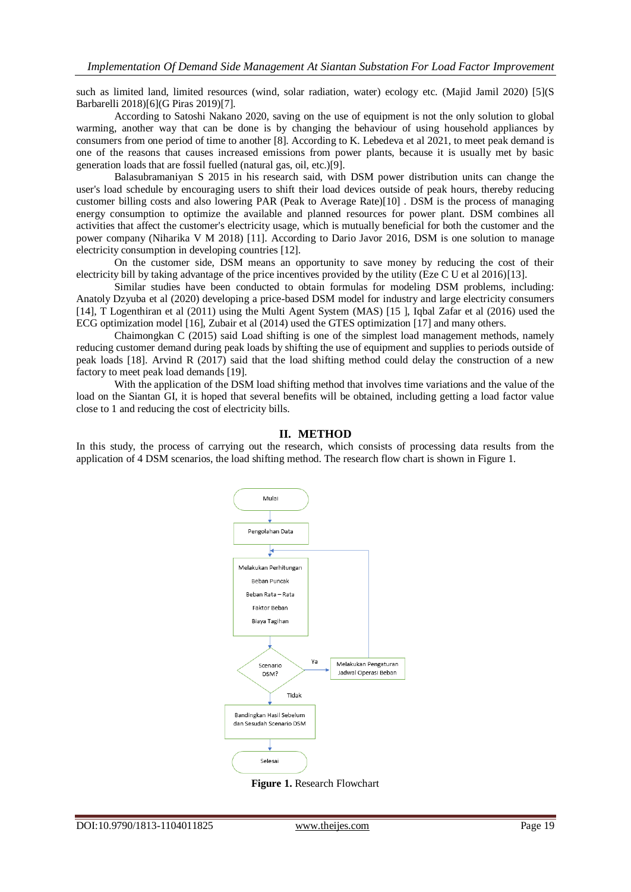such as limited land, limited resources (wind, solar radiation, water) ecology etc. (Majid Jamil 2020) [5](S Barbarelli 2018)[6](G Piras 2019)[7].

According to Satoshi Nakano 2020, saving on the use of equipment is not the only solution to global warming, another way that can be done is by changing the behaviour of using household appliances by consumers from one period of time to another [8]. According to K. Lebedeva et al 2021, to meet peak demand is one of the reasons that causes increased emissions from power plants, because it is usually met by basic generation loads that are fossil fuelled (natural gas, oil, etc.)[9].

Balasubramaniyan S 2015 in his research said, with DSM power distribution units can change the user's load schedule by encouraging users to shift their load devices outside of peak hours, thereby reducing customer billing costs and also lowering PAR (Peak to Average Rate)[10] . DSM is the process of managing energy consumption to optimize the available and planned resources for power plant. DSM combines all activities that affect the customer's electricity usage, which is mutually beneficial for both the customer and the power company (Niharika V M 2018) [11]. According to Dario Javor 2016, DSM is one solution to manage electricity consumption in developing countries [12].

On the customer side, DSM means an opportunity to save money by reducing the cost of their electricity bill by taking advantage of the price incentives provided by the utility (Eze C U et al 2016)[13].

Similar studies have been conducted to obtain formulas for modeling DSM problems, including: Anatoly Dzyuba et al (2020) developing a price-based DSM model for industry and large electricity consumers [14], T Logenthiran et al (2011) using the Multi Agent System (MAS) [15 ], Iqbal Zafar et al (2016) used the ECG optimization model [16], Zubair et al (2014) used the GTES optimization [17] and many others.

Chaimongkan C (2015) said Load shifting is one of the simplest load management methods, namely reducing customer demand during peak loads by shifting the use of equipment and supplies to periods outside of peak loads [18]. Arvind R (2017) said that the load shifting method could delay the construction of a new factory to meet peak load demands [19].

With the application of the DSM load shifting method that involves time variations and the value of the load on the Siantan GI, it is hoped that several benefits will be obtained, including getting a load factor value close to 1 and reducing the cost of electricity bills.

### **II. METHOD**

In this study, the process of carrying out the research, which consists of processing data results from the application of 4 DSM scenarios, the load shifting method. The research flow chart is shown in Figure 1.



**Figure 1.** Research Flowchart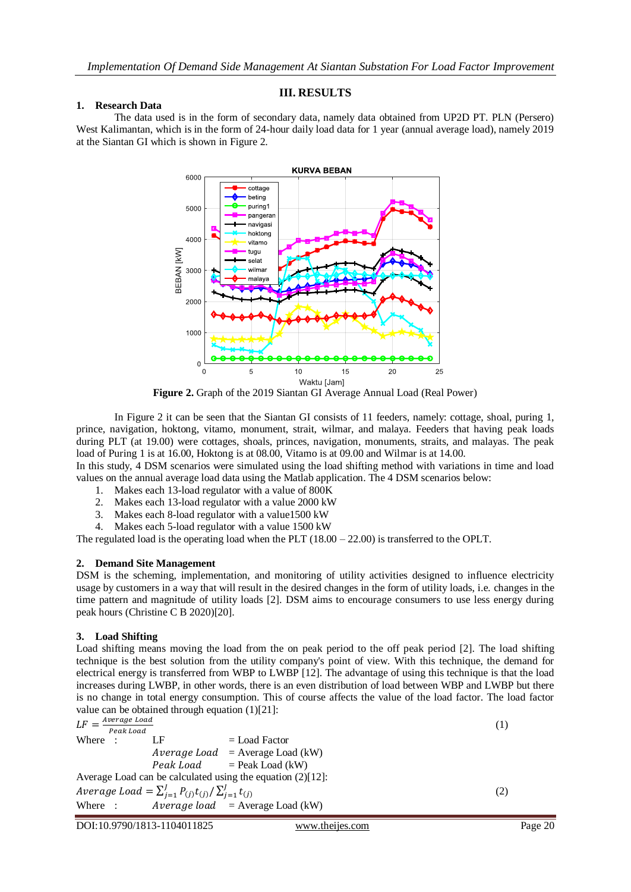# **III. RESULTS**

#### **1. Research Data**

The data used is in the form of secondary data, namely data obtained from UP2D PT. PLN (Persero) West Kalimantan, which is in the form of 24-hour daily load data for 1 year (annual average load), namely 2019 at the Siantan GI which is shown in Figure 2.



**Figure 2.** Graph of the 2019 Siantan GI Average Annual Load (Real Power)

In Figure 2 it can be seen that the Siantan GI consists of 11 feeders, namely: cottage, shoal, puring 1, prince, navigation, hoktong, vitamo, monument, strait, wilmar, and malaya. Feeders that having peak loads during PLT (at 19.00) were cottages, shoals, princes, navigation, monuments, straits, and malayas. The peak load of Puring 1 is at 16.00, Hoktong is at 08.00, Vitamo is at 09.00 and Wilmar is at 14.00.

In this study, 4 DSM scenarios were simulated using the load shifting method with variations in time and load values on the annual average load data using the Matlab application. The 4 DSM scenarios below:

- 1. Makes each 13-load regulator with a value of 800K
- 2. Makes each 13-load regulator with a value 2000 kW
- 3. Makes each 8-load regulator with a value1500 kW
- 4. Makes each 5-load regulator with a value 1500 kW

The regulated load is the operating load when the PLT  $(18.00 - 22.00)$  is transferred to the OPLT.

# **2. Demand Site Management**

DSM is the scheming, implementation, and monitoring of utility activities designed to influence electricity usage by customers in a way that will result in the desired changes in the form of utility loads, i.e. changes in the time pattern and magnitude of utility loads [2]. DSM aims to encourage consumers to use less energy during peak hours (Christine C B 2020)[20].

# **3. Load Shifting**

Load shifting means moving the load from the on peak period to the off peak period [2]. The load shifting technique is the best solution from the utility company's point of view. With this technique, the demand for electrical energy is transferred from WBP to LWBP [12]. The advantage of using this technique is that the load increases during LWBP, in other words, there is an even distribution of load between WBP and LWBP but there is no change in total energy consumption. This of course affects the value of the load factor. The load factor value can be obtained through equation (1)[21]: Average Load

|         | $I.F = \frac{Ave \cdot \text{age} Louu}{Bare}$<br>Peak Load |                                                                          |                                                               | $\perp$ |
|---------|-------------------------------------------------------------|--------------------------------------------------------------------------|---------------------------------------------------------------|---------|
| Where : |                                                             | LF                                                                       | $=$ Load Factor                                               |         |
|         |                                                             |                                                                          | $Average Load = Average Load (kW)$                            |         |
|         |                                                             |                                                                          | $Peak$ Load = Peak Load (kW)                                  |         |
|         |                                                             |                                                                          | Average Load can be calculated using the equation $(2)[12]$ : |         |
|         |                                                             | Average Load = $\sum_{i=1}^{J} P_{(j)} t_{(j)} / \sum_{i=1}^{J} t_{(j)}$ |                                                               | (2)     |
|         |                                                             |                                                                          | Where : $Average load = Average Load (kW)$                    |         |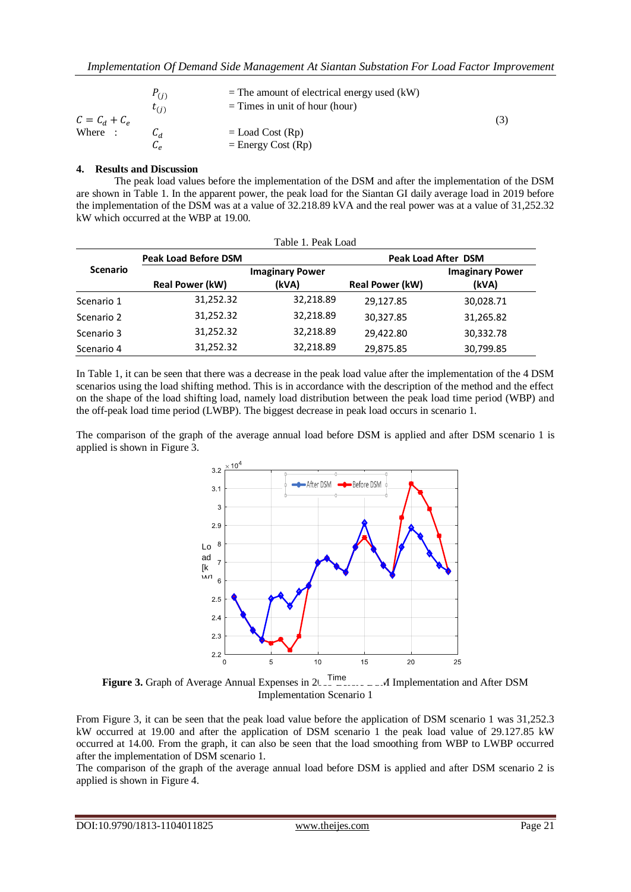|                 | $P_{(i)}$<br>$\tau_{(i)}$ | $=$ The amount of electrical energy used (kW)<br>$=$ Times in unit of hour (hour) |     |
|-----------------|---------------------------|-----------------------------------------------------------------------------------|-----|
| $C = C_d + C_e$ |                           |                                                                                   | (3) |
| Where :         |                           | $=$ Load Cost (Rp)                                                                |     |
|                 | ۾ ما                      | $=$ Energy Cost (Rp)                                                              |     |

### **4. Results and Discussion**

The peak load values before the implementation of the DSM and after the implementation of the DSM are shown in Table 1. In the apparent power, the peak load for the Siantan GI daily average load in 2019 before the implementation of the DSM was at a value of 32.218.89 kVA and the real power was at a value of 31,252.32 kW which occurred at the WBP at 19.00.

| Table 1. Peak Load |                             |                        |                            |                        |
|--------------------|-----------------------------|------------------------|----------------------------|------------------------|
|                    | <b>Peak Load Before DSM</b> |                        | <b>Peak Load After DSM</b> |                        |
| <b>Scenario</b>    |                             | <b>Imaginary Power</b> |                            | <b>Imaginary Power</b> |
|                    | <b>Real Power (kW)</b>      | (kVA)                  | <b>Real Power (kW)</b>     | (kVA)                  |
| Scenario 1         | 31,252.32                   | 32,218.89              | 29,127.85                  | 30,028.71              |
| Scenario 2         | 31,252.32                   | 32,218.89              | 30,327.85                  | 31,265.82              |
| Scenario 3         | 31,252.32                   | 32,218.89              | 29,422.80                  | 30,332.78              |
| Scenario 4         | 31,252.32                   | 32.218.89              | 29,875.85                  | 30,799.85              |

In Table 1, it can be seen that there was a decrease in the peak load value after the implementation of the 4 DSM scenarios using the load shifting method. This is in accordance with the description of the method and the effect on the shape of the load shifting load, namely load distribution between the peak load time period (WBP) and the off-peak load time period (LWBP). The biggest decrease in peak load occurs in scenario 1.

The comparison of the graph of the average annual load before DSM is applied and after DSM scenario 1 is applied is shown in Figure 3.



**Figure 3.** Graph of Average Annual Expenses in 2018, Figure Devil Implementation and After DSM Implementation Scenario 1  $\int_{0}^{\infty}$ 

From Figure 3, it can be seen that the peak load value before the application of DSM scenario 1 was 31,252.3 kW occurred at 19.00 and after the application of DSM scenario 1 the peak load value of 29.127.85 kW occurred at 14.00. From the graph, it can also be seen that the load smoothing from WBP to LWBP occurred after the implementation of DSM scenario 1.

The comparison of the graph of the average annual load before DSM is applied and after DSM scenario 2 is applied is shown in Figure 4.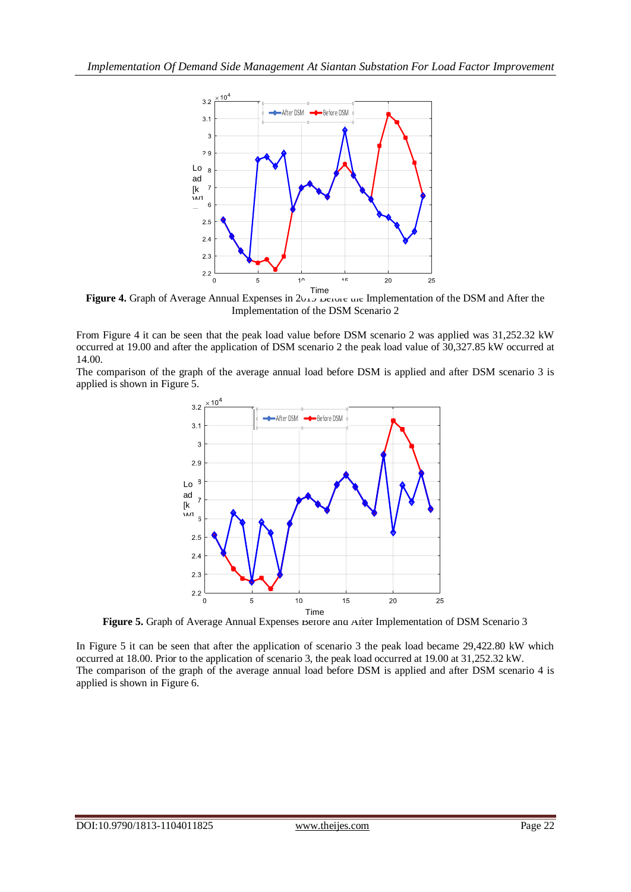

Figure 4. Graph of Average Annual Expenses in  $2017$  before the Implementation of the DSM and After the Implementation of the DSM Scenario 2

From Figure 4 it can be seen that the peak load value before DSM scenario 2 was applied was 31,252.32 kW occurred at 19.00 and after the application of DSM scenario 2 the peak load value of 30,327.85 kW occurred at 14.00.

The comparison of the graph of the average annual load before DSM is applied and after DSM scenario 3 is applied is shown in Figure 5.



Figure 5. Graph of Average Annual Expenses Before and After Implementation of DSM Scenario 3

In Figure 5 it can be seen that after the application of scenario 3 the peak load became 29,422.80 kW which occurred at 18.00. Prior to the application of scenario 3, the peak load occurred at 19.00 at 31,252.32 kW. The comparison of the graph of the average annual load before DSM is applied and after DSM scenario 4 is applied is shown in Figure 6.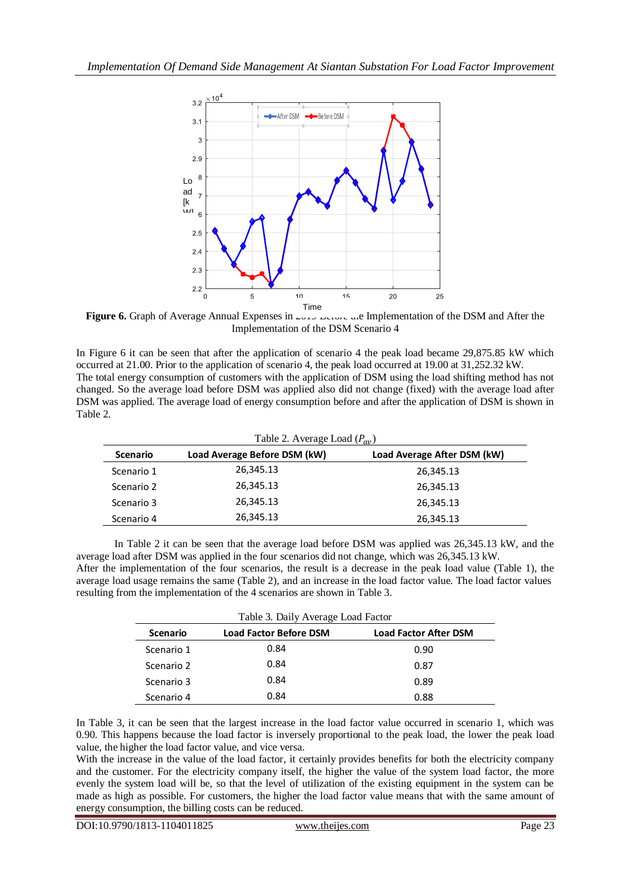

**Figure 6.** Graph of Average Annual Expenses in 2019 Before the Implementation of the DSM and After the Implementation of the DSM Scenario 4

In Figure 6 it can be seen that after the application of scenario 4 the peak load became 29,875.85 kW which occurred at 21.00. Prior to the application of scenario 4, the peak load occurred at 19.00 at 31,252.32 kW. The total energy consumption of customers with the application of DSM using the load shifting method has not changed. So the average load before DSM was applied also did not change (fixed) with the average load after DSM was applied. The average load of energy consumption before and after the application of DSM is shown in Table 2.

| Table 2. Average Load $(P_{av})$ |                              |                             |  |
|----------------------------------|------------------------------|-----------------------------|--|
| <b>Scenario</b>                  | Load Average Before DSM (kW) | Load Average After DSM (kW) |  |
| Scenario 1                       | 26,345.13                    | 26,345.13                   |  |
| Scenario 2                       | 26,345.13                    | 26,345.13                   |  |
| Scenario 3                       | 26,345.13                    | 26,345.13                   |  |
| Scenario 4                       | 26,345.13                    | 26,345.13                   |  |

In Table 2 it can be seen that the average load before DSM was applied was 26,345.13 kW, and the average load after DSM was applied in the four scenarios did not change, which was 26,345.13 kW. After the implementation of the four scenarios, the result is a decrease in the peak load value (Table 1), the average load usage remains the same (Table 2), and an increase in the load factor value. The load factor values resulting from the implementation of the 4 scenarios are shown in Table 3.

| Table 3. Daily Average Load Factor |                               |                              |  |
|------------------------------------|-------------------------------|------------------------------|--|
| <b>Scenario</b>                    | <b>Load Factor Before DSM</b> | <b>Load Factor After DSM</b> |  |
| Scenario 1                         | 0.84                          | 0.90                         |  |
| Scenario 2                         | 0.84                          | 0.87                         |  |
| Scenario 3                         | 0.84                          | 0.89                         |  |
| Scenario 4                         | 0.84                          | 0.88                         |  |

In Table 3, it can be seen that the largest increase in the load factor value occurred in scenario 1, which was 0.90. This happens because the load factor is inversely proportional to the peak load, the lower the peak load value, the higher the load factor value, and vice versa.

With the increase in the value of the load factor, it certainly provides benefits for both the electricity company and the customer. For the electricity company itself, the higher the value of the system load factor, the more evenly the system load will be, so that the level of utilization of the existing equipment in the system can be made as high as possible. For customers, the higher the load factor value means that with the same amount of energy consumption, the billing costs can be reduced.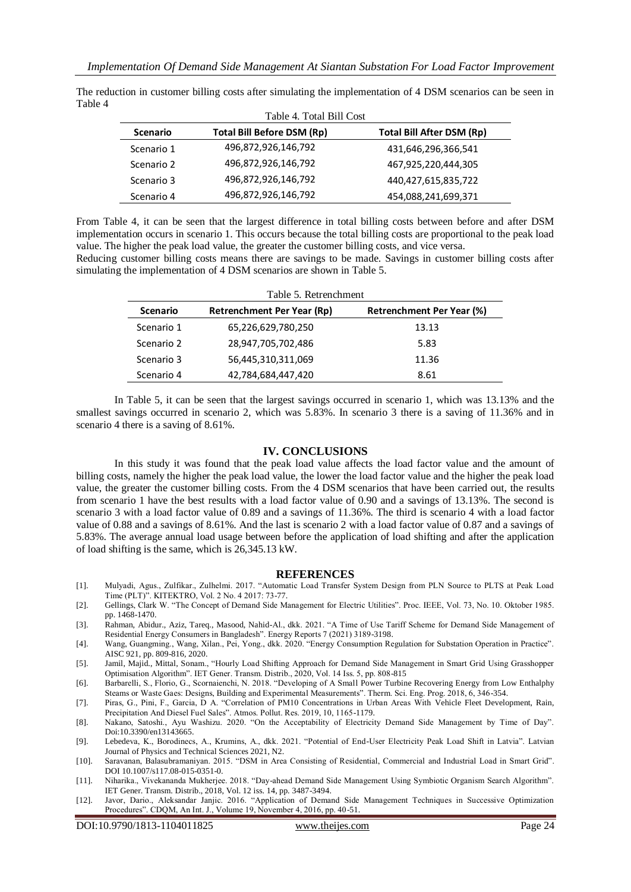| <b>Scenario</b> | <b>Total Bill Before DSM (Rp)</b> | Total Bill After DSM (Rp) |
|-----------------|-----------------------------------|---------------------------|
| Scenario 1      | 496,872,926,146,792               | 431,646,296,366,541       |
| Scenario 2      | 496,872,926,146,792               | 467,925,220,444,305       |
| Scenario 3      | 496,872,926,146,792               | 440,427,615,835,722       |
| Scenario 4      | 496,872,926,146,792               | 454,088,241,699,371       |

The reduction in customer billing costs after simulating the implementation of 4 DSM scenarios can be seen in Table 4

From Table 4, it can be seen that the largest difference in total billing costs between before and after DSM implementation occurs in scenario 1. This occurs because the total billing costs are proportional to the peak load value. The higher the peak load value, the greater the customer billing costs, and vice versa.

Reducing customer billing costs means there are savings to be made. Savings in customer billing costs after simulating the implementation of 4 DSM scenarios are shown in Table 5.

| <b>Scenario</b> | Table 5. Retrenchment<br>Retrenchment Per Year (Rp) | Retrenchment Per Year (%) |
|-----------------|-----------------------------------------------------|---------------------------|
| Scenario 1      | 65,226,629,780,250                                  | 13.13                     |
| Scenario 2      | 28,947,705,702,486                                  | 5.83                      |
| Scenario 3      | 56,445,310,311,069                                  | 11.36                     |
| Scenario 4      | 42,784,684,447,420                                  | 8.61                      |

In Table 5, it can be seen that the largest savings occurred in scenario 1, which was 13.13% and the smallest savings occurred in scenario 2, which was 5.83%. In scenario 3 there is a saving of 11.36% and in scenario 4 there is a saving of 8.61%.

#### **IV. CONCLUSIONS**

In this study it was found that the peak load value affects the load factor value and the amount of billing costs, namely the higher the peak load value, the lower the load factor value and the higher the peak load value, the greater the customer billing costs. From the 4 DSM scenarios that have been carried out, the results from scenario 1 have the best results with a load factor value of 0.90 and a savings of 13.13%. The second is scenario 3 with a load factor value of 0.89 and a savings of 11.36%. The third is scenario 4 with a load factor value of 0.88 and a savings of 8.61%. And the last is scenario 2 with a load factor value of 0.87 and a savings of 5.83%. The average annual load usage between before the application of load shifting and after the application of load shifting is the same, which is 26,345.13 kW.

#### **REFERENCES**

- [1]. Mulyadi, Agus., Zulfikar., Zulhelmi. 2017. "Automatic Load Transfer System Design from PLN Source to PLTS at Peak Load Time (PLT)". KITEKTRO, Vol. 2 No. 4 2017: 73-77.
- [2]. Gellings, Clark W. "The Concept of Demand Side Management for Electric Utilities". Proc. IEEE, Vol. 73, No. 10. Oktober 1985. pp. 1468-1470.
- [3]. Rahman, Abidur., Aziz, Tareq., Masood, Nahid-Al., dkk. 2021. "A Time of Use Tariff Scheme for Demand Side Management of Residential Energy Consumers in Bangladesh". Energy Reports 7 (2021) 3189-3198.
- [4]. Wang, Guangming., Wang, Xilan., Pei, Yong., dkk. 2020. "Energy Consumption Regulation for Substation Operation in Practice". AISC 921, pp. 809-816, 2020.
- [5]. Jamil, Majid., Mittal, Sonam., "Hourly Load Shifting Approach for Demand Side Management in Smart Grid Using Grasshopper Optimisation Algorithm". IET Gener. Transm. Distrib., 2020, Vol. 14 Iss. 5, pp. 808-815
- [6]. Barbarelli, S., Florio, G., Scornaienchi, N. 2018. "Developing of A Small Power Turbine Recovering Energy from Low Enthalphy Steams or Waste Gaes: Designs, Building and Experimental Measurements". Therm. Sci. Eng. Prog. 2018, 6, 346-354.
- [7]. Piras, G., Pini, F., Garcia, D A. "Correlation of PM10 Concentrations in Urban Areas With Vehicle Fleet Development, Rain, Precipitation And Diesel Fuel Sales". Atmos. Pollut. Res. 2019, 10, 1165-1179.
- [8]. Nakano, Satoshi., Ayu Washizu. 2020. "On the Acceptability of Electricity Demand Side Management by Time of Day". Doi:10.3390/en13143665.
- [9]. Lebedeva, K., Borodinecs, A., Krumins, A., dkk. 2021. "Potential of End-User Electricity Peak Load Shift in Latvia". Latvian Journal of Physics and Technical Sciences 2021, N2.
- [10]. Saravanan, Balasubramaniyan. 2015. "DSM in Area Consisting of Residential, Commercial and Industrial Load in Smart Grid". DOI 10.1007/s117.08-015-0351-0.
- [11]. Niharika., Vivekananda Mukherjee. 2018. "Day-ahead Demand Side Management Using Symbiotic Organism Search Algorithm". IET Gener. Transm. Distrib., 2018, Vol. 12 iss. 14, pp. 3487-3494.
- [12]. Javor, Dario., Aleksandar Janjic. 2016. "Application of Demand Side Management Techniques in Successive Optimization Procedures". CDQM, An Int. J., Volume 19, November 4, 2016, pp. 40-51.